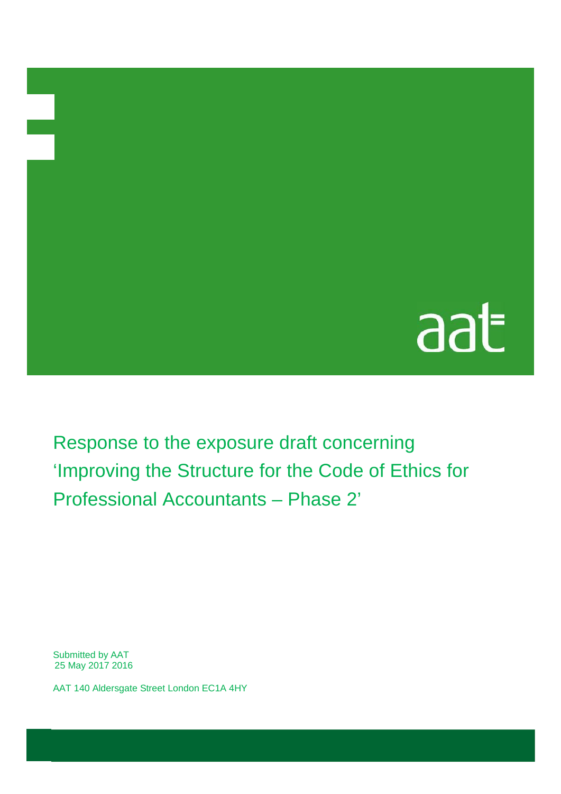## aat

Response to the exposure draft concerning 'Improving the Structure for the Code of Ethics for Professional Accountants – Phase 2'

Submitted by AAT 25 May 2017 2016

en de la populación de la populación de la populación de la populación de la populación de la populación de la<br>Desenvolver de la populación de la populación de la populación de la populación de la populación de la populac

AAT 140 Aldersgate Street London EC1A 4HY